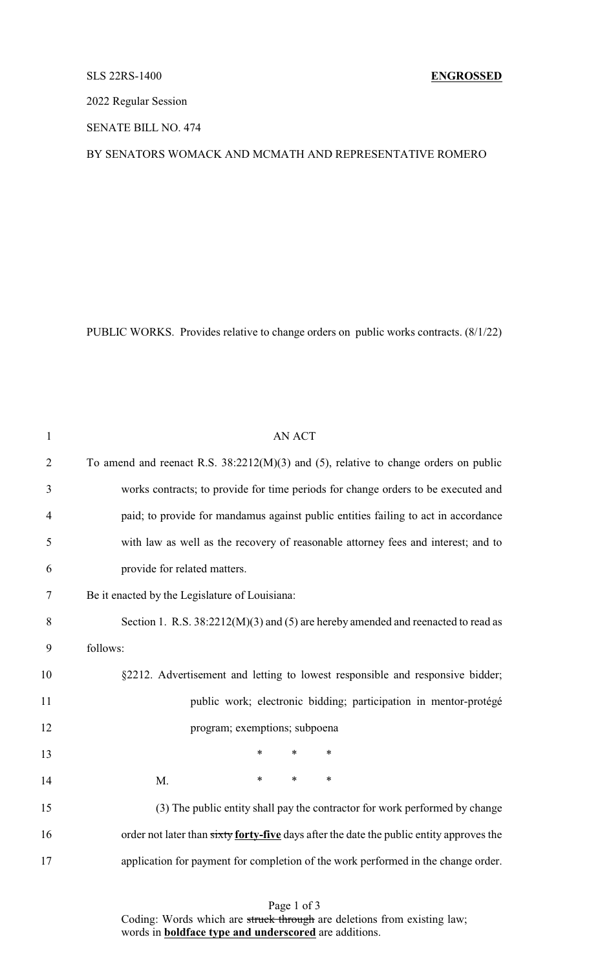## SLS 22RS-1400 **ENGROSSED**

2022 Regular Session

SENATE BILL NO. 474

## BY SENATORS WOMACK AND MCMATH AND REPRESENTATIVE ROMERO

PUBLIC WORKS. Provides relative to change orders on public works contracts. (8/1/22)

| $\mathbf{1}$   | <b>AN ACT</b>                                                                            |
|----------------|------------------------------------------------------------------------------------------|
| $\overline{2}$ | To amend and reenact R.S. $38:2212(M)(3)$ and (5), relative to change orders on public   |
| 3              | works contracts; to provide for time periods for change orders to be executed and        |
| $\overline{4}$ | paid; to provide for mandamus against public entities failing to act in accordance       |
| 5              | with law as well as the recovery of reasonable attorney fees and interest; and to        |
| 6              | provide for related matters.                                                             |
| 7              | Be it enacted by the Legislature of Louisiana:                                           |
| 8              | Section 1. R.S. 38:2212(M)(3) and (5) are hereby amended and reenacted to read as        |
| 9              | follows:                                                                                 |
| 10             | §2212. Advertisement and letting to lowest responsible and responsive bidder;            |
| 11             | public work; electronic bidding; participation in mentor-protégé                         |
| 12             | program; exemptions; subpoena                                                            |
| 13             | $\ast$<br>$\ast$<br>$\ast$                                                               |
| 14             | $\ast$<br>$\ast$<br>$\ast$<br>M.                                                         |
| 15             | (3) The public entity shall pay the contractor for work performed by change              |
| 16             | order not later than sixty forty-five days after the date the public entity approves the |
| 17             | application for payment for completion of the work performed in the change order.        |
|                |                                                                                          |

Page 1 of 3 Coding: Words which are struck through are deletions from existing law; words in **boldface type and underscored** are additions.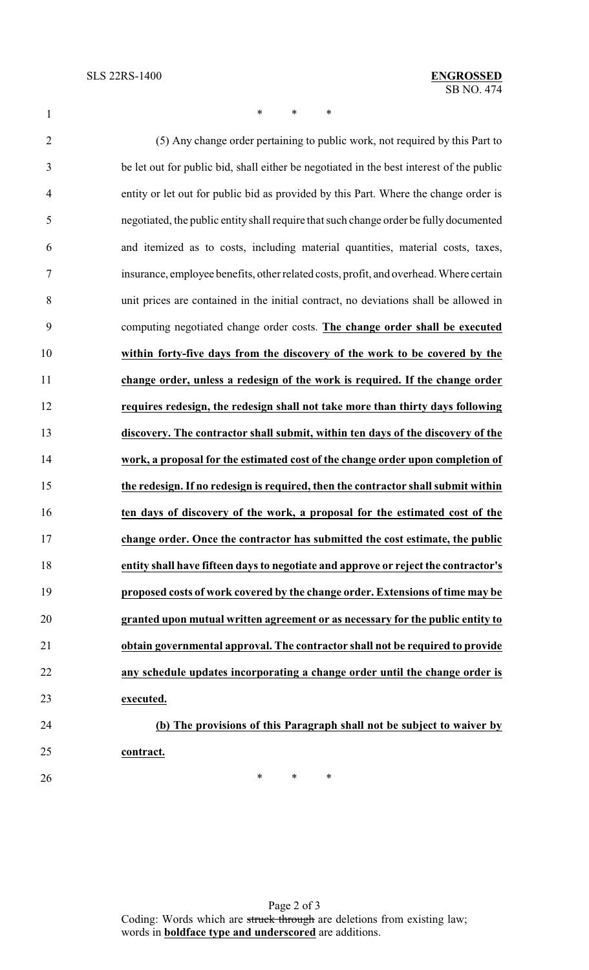1 \* \* \* \*

 (5) Any change order pertaining to public work, not required by this Part to be let out for public bid, shall either be negotiated in the best interest of the public entity or let out for public bid as provided by this Part. Where the change order is negotiated, the public entity shall require that such change order be fully documented and itemized as to costs, including material quantities, material costs, taxes, insurance, employee benefits, other related costs, profit, and overhead. Where certain unit prices are contained in the initial contract, no deviations shall be allowed in computing negotiated change order costs. **The change order shall be executed within forty-five days from the discovery of the work to be covered by the change order, unless a redesign of the work is required. If the change order requires redesign, the redesign shall not take more than thirty days following discovery. The contractor shall submit, within ten days of the discovery of the work, a proposal for the estimated cost of the change order upon completion of the redesign. If no redesign is required, then the contractor shall submit within ten days of discovery of the work, a proposal for the estimated cost of the change order. Once the contractor has submitted the cost estimate, the public entity shall have fifteen days to negotiate and approve or reject the contractor's proposed costs of work covered by the change order. Extensions of time may be granted upon mutual written agreement or as necessary for the public entity to obtain governmental approval. The contractor shall not be required to provide any schedule updates incorporating a change order until the change order is executed. (b) The provisions of this Paragraph shall not be subject to waiver by contract.**

 $*$  \* \* \*